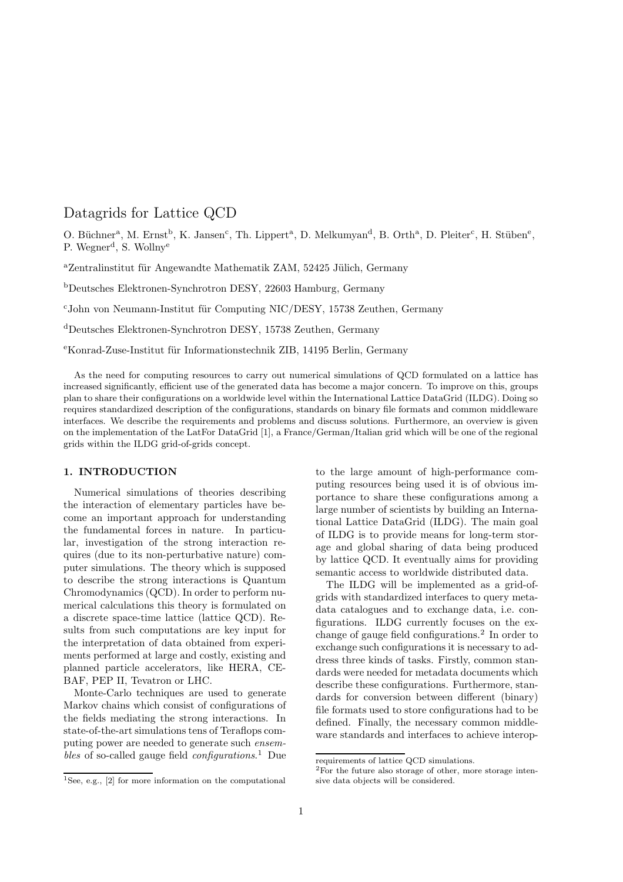# Datagrids for Lattice QCD

O. Büchner<sup>a</sup>, M. Ernst<sup>b</sup>, K. Jansen<sup>c</sup>, Th. Lippert<sup>a</sup>, D. Melkumyan<sup>d</sup>, B. Orth<sup>a</sup>, D. Pleiter<sup>c</sup>, H. Stüben<sup>e</sup>, P. Wegner<sup>d</sup>, S. Wollny<sup>e</sup>

<sup>a</sup>Zentralinstitut für Angewandte Mathematik ZAM, 52425 Jülich, Germany

<sup>b</sup>Deutsches Elektronen-Synchrotron DESY, 22603 Hamburg, Germany

 $c$ John von Neumann-Institut für Computing NIC/DESY, 15738 Zeuthen, Germany

<sup>d</sup>Deutsches Elektronen-Synchrotron DESY, 15738 Zeuthen, Germany

eKonrad-Zuse-Institut für Informationstechnik ZIB, 14195 Berlin, Germany

As the need for computing resources to carry out numerical simulations of QCD formulated on a lattice has increased significantly, efficient use of the generated data has become a major concern. To improve on this, groups plan to share their configurations on a worldwide level within the International Lattice DataGrid (ILDG). Doing so requires standardized description of the configurations, standards on binary file formats and common middleware interfaces. We describe the requirements and problems and discuss solutions. Furthermore, an overview is given on the implementation of the LatFor DataGrid [1], a France/German/Italian grid which will be one of the regional grids within the ILDG grid-of-grids concept.

## 1. INTRODUCTION

Numerical simulations of theories describing the interaction of elementary particles have become an important approach for understanding the fundamental forces in nature. In particular, investigation of the strong interaction requires (due to its non-perturbative nature) computer simulations. The theory which is supposed to describe the strong interactions is Quantum Chromodynamics (QCD). In order to perform numerical calculations this theory is formulated on a discrete space-time lattice (lattice QCD). Results from such computations are key input for the interpretation of data obtained from experiments performed at large and costly, existing and planned particle accelerators, like HERA, CE-BAF, PEP II, Tevatron or LHC.

Monte-Carlo techniques are used to generate Markov chains which consist of configurations of the fields mediating the strong interactions. In state-of-the-art simulations tens of Teraflops computing power are needed to generate such ensembles of so-called gauge field *configurations*.<sup>1</sup> Due to the large amount of high-performance computing resources being used it is of obvious importance to share these configurations among a large number of scientists by building an International Lattice DataGrid (ILDG). The main goal of ILDG is to provide means for long-term storage and global sharing of data being produced by lattice QCD. It eventually aims for providing semantic access to worldwide distributed data.

The ILDG will be implemented as a grid-ofgrids with standardized interfaces to query metadata catalogues and to exchange data, i.e. configurations. ILDG currently focuses on the exchange of gauge field configurations.<sup>2</sup> In order to exchange such configurations it is necessary to address three kinds of tasks. Firstly, common standards were needed for metadata documents which describe these configurations. Furthermore, standards for conversion between different (binary) file formats used to store configurations had to be defined. Finally, the necessary common middleware standards and interfaces to achieve interop-

 $\overline{^{1}$ See, e.g., [2] for more information on the computational

requirements of lattice QCD simulations.

<sup>2</sup>For the future also storage of other, more storage intensive data objects will be considered.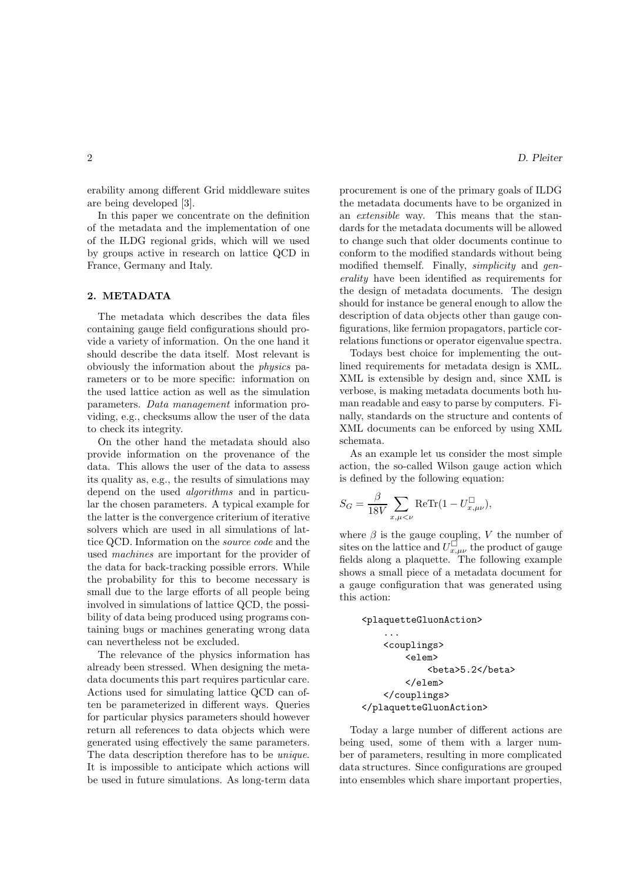erability among different Grid middleware suites are being developed [3].

In this paper we concentrate on the definition of the metadata and the implementation of one of the ILDG regional grids, which will we used by groups active in research on lattice QCD in France, Germany and Italy.

## 2. METADATA

The metadata which describes the data files containing gauge field configurations should provide a variety of information. On the one hand it should describe the data itself. Most relevant is obviously the information about the physics parameters or to be more specific: information on the used lattice action as well as the simulation parameters. Data management information providing, e.g., checksums allow the user of the data to check its integrity.

On the other hand the metadata should also provide information on the provenance of the data. This allows the user of the data to assess its quality as, e.g., the results of simulations may depend on the used algorithms and in particular the chosen parameters. A typical example for the latter is the convergence criterium of iterative solvers which are used in all simulations of lattice QCD. Information on the source code and the used machines are important for the provider of the data for back-tracking possible errors. While the probability for this to become necessary is small due to the large efforts of all people being involved in simulations of lattice QCD, the possibility of data being produced using programs containing bugs or machines generating wrong data can nevertheless not be excluded.

The relevance of the physics information has already been stressed. When designing the metadata documents this part requires particular care. Actions used for simulating lattice QCD can often be parameterized in different ways. Queries for particular physics parameters should however return all references to data objects which were generated using effectively the same parameters. The data description therefore has to be unique. It is impossible to anticipate which actions will be used in future simulations. As long-term data procurement is one of the primary goals of ILDG the metadata documents have to be organized in an extensible way. This means that the standards for the metadata documents will be allowed to change such that older documents continue to conform to the modified standards without being modified themself. Finally, simplicity and generality have been identified as requirements for the design of metadata documents. The design should for instance be general enough to allow the description of data objects other than gauge configurations, like fermion propagators, particle correlations functions or operator eigenvalue spectra.

Todays best choice for implementing the outlined requirements for metadata design is XML. XML is extensible by design and, since XML is verbose, is making metadata documents both human readable and easy to parse by computers. Finally, standards on the structure and contents of XML documents can be enforced by using XML schemata.

As an example let us consider the most simple action, the so-called Wilson gauge action which is defined by the following equation:

$$
S_G = \frac{\beta}{18V} \sum_{x,\mu < \nu} \text{ReTr}(1 - U_{x,\mu\nu}^{\square}),
$$

where  $\beta$  is the gauge coupling, V the number of sites on the lattice and  $U_{x,\mu\nu}^{\square}$  the product of gauge fields along a plaquette. The following example shows a small piece of a metadata document for a gauge configuration that was generated using this action:

```
<plaquetteGluonAction>
    ...
    <couplings>
        <elem>
             <beta>5.2</beta>
        </elem>
    </couplings>
</plaquetteGluonAction>
```
Today a large number of different actions are being used, some of them with a larger number of parameters, resulting in more complicated data structures. Since configurations are grouped into ensembles which share important properties,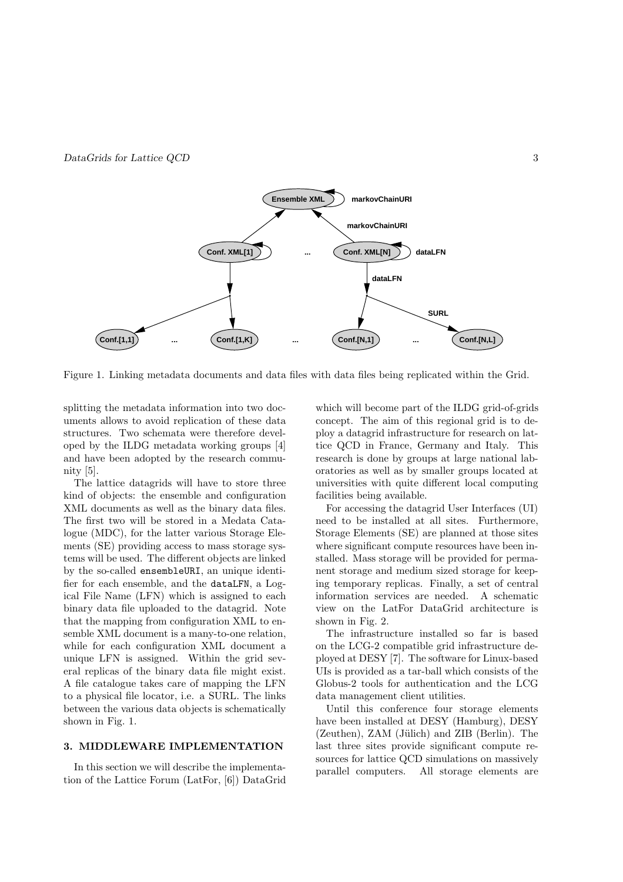

Figure 1. Linking metadata documents and data files with data files being replicated within the Grid.

splitting the metadata information into two documents allows to avoid replication of these data structures. Two schemata were therefore developed by the ILDG metadata working groups [4] and have been adopted by the research community [5].

The lattice datagrids will have to store three kind of objects: the ensemble and configuration XML documents as well as the binary data files. The first two will be stored in a Medata Catalogue (MDC), for the latter various Storage Elements (SE) providing access to mass storage systems will be used. The different objects are linked by the so-called ensembleURI, an unique identifier for each ensemble, and the dataLFN, a Logical File Name (LFN) which is assigned to each binary data file uploaded to the datagrid. Note that the mapping from configuration XML to ensemble XML document is a many-to-one relation, while for each configuration XML document a unique LFN is assigned. Within the grid several replicas of the binary data file might exist. A file catalogue takes care of mapping the LFN to a physical file locator, i.e. a SURL. The links between the various data objects is schematically shown in Fig. 1.

#### 3. MIDDLEWARE IMPLEMENTATION

In this section we will describe the implementation of the Lattice Forum (LatFor, [6]) DataGrid which will become part of the ILDG grid-of-grids concept. The aim of this regional grid is to deploy a datagrid infrastructure for research on lattice QCD in France, Germany and Italy. This research is done by groups at large national laboratories as well as by smaller groups located at universities with quite different local computing facilities being available.

For accessing the datagrid User Interfaces (UI) need to be installed at all sites. Furthermore, Storage Elements (SE) are planned at those sites where significant compute resources have been installed. Mass storage will be provided for permanent storage and medium sized storage for keeping temporary replicas. Finally, a set of central information services are needed. A schematic view on the LatFor DataGrid architecture is shown in Fig. 2.

The infrastructure installed so far is based on the LCG-2 compatible grid infrastructure deployed at DESY [7]. The software for Linux-based UIs is provided as a tar-ball which consists of the Globus-2 tools for authentication and the LCG data management client utilities.

Until this conference four storage elements have been installed at DESY (Hamburg), DESY  $(Zeuthen)$ ,  $ZAM$  (Jülich) and  $ZIB$  (Berlin). The last three sites provide significant compute resources for lattice QCD simulations on massively parallel computers. All storage elements are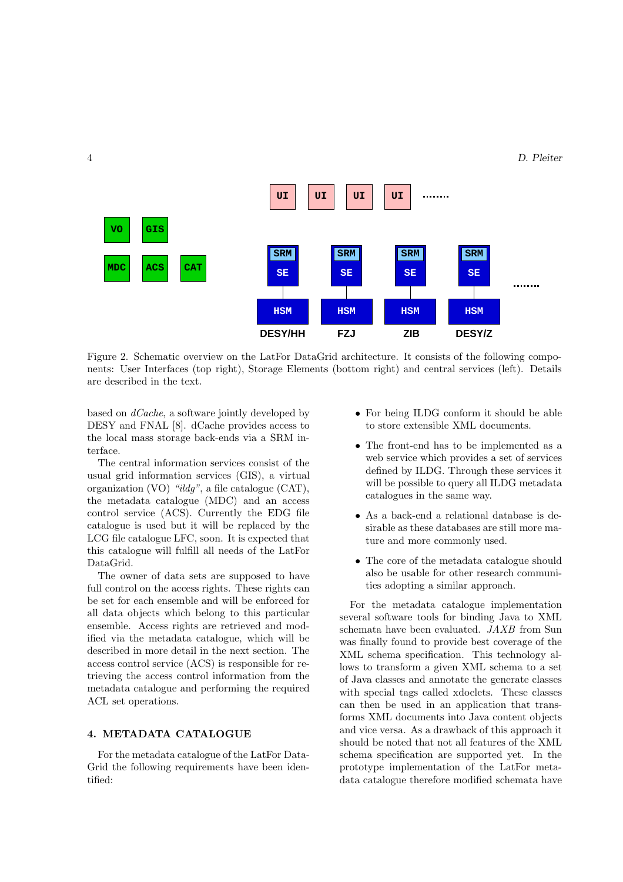### 4 D. Pleiter



Figure 2. Schematic overview on the LatFor DataGrid architecture. It consists of the following components: User Interfaces (top right), Storage Elements (bottom right) and central services (left). Details are described in the text.

based on dCache, a software jointly developed by DESY and FNAL [8]. dCache provides access to the local mass storage back-ends via a SRM interface.

The central information services consist of the usual grid information services (GIS), a virtual organization (VO) "ildg", a file catalogue (CAT), the metadata catalogue (MDC) and an access control service (ACS). Currently the EDG file catalogue is used but it will be replaced by the LCG file catalogue LFC, soon. It is expected that this catalogue will fulfill all needs of the LatFor DataGrid.

The owner of data sets are supposed to have full control on the access rights. These rights can be set for each ensemble and will be enforced for all data objects which belong to this particular ensemble. Access rights are retrieved and modified via the metadata catalogue, which will be described in more detail in the next section. The access control service (ACS) is responsible for retrieving the access control information from the metadata catalogue and performing the required ACL set operations.

## 4. METADATA CATALOGUE

For the metadata catalogue of the LatFor Data-Grid the following requirements have been identified:

- For being ILDG conform it should be able to store extensible XML documents.
- The front-end has to be implemented as a web service which provides a set of services defined by ILDG. Through these services it will be possible to query all ILDG metadata catalogues in the same way.
- As a back-end a relational database is desirable as these databases are still more mature and more commonly used.
- The core of the metadata catalogue should also be usable for other research communities adopting a similar approach.

For the metadata catalogue implementation several software tools for binding Java to XML schemata have been evaluated. JAXB from Sun was finally found to provide best coverage of the XML schema specification. This technology allows to transform a given XML schema to a set of Java classes and annotate the generate classes with special tags called xdoclets. These classes can then be used in an application that transforms XML documents into Java content objects and vice versa. As a drawback of this approach it should be noted that not all features of the XML schema specification are supported yet. In the prototype implementation of the LatFor metadata catalogue therefore modified schemata have